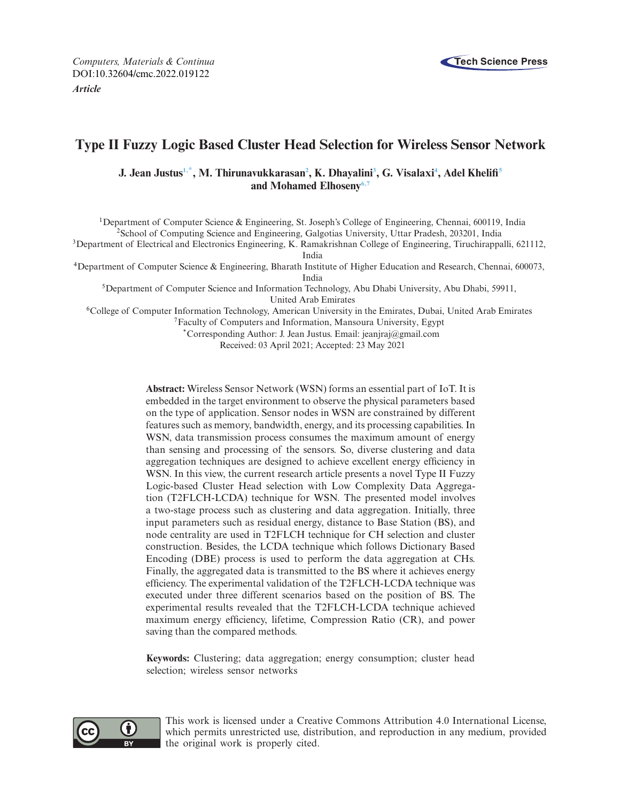

# **Type II Fuzzy Logic Based Cluster Head Selection for Wireless Sensor Network**

 $J.$  Jean Justus<sup>1,\*</sup>, M. Thirunavukkarasan<sup>2</sup>, K. Dhayalini<sup>3</sup>, G. Visalaxi<sup>4</sup>, Adel Khelifi<sup>5</sup> **and Mohamed Elhosen[y6,](#page-0-6)[7](#page-0-7)**

<span id="page-0-2"></span><span id="page-0-0"></span>1Department of Computer Science & Engineering, St. Joseph's College of Engineering, Chennai, 600119, India 2School of Computing Science and Engineering, Galgotias University, Uttar Pradesh, 203201, India

<span id="page-0-3"></span><sup>3</sup>Department of Electrical and Electronics Engineering, K. Ramakrishnan College of Engineering, Tiruchirappalli, 621112, India

<span id="page-0-4"></span>4Department of Computer Science & Engineering, Bharath Institute of Higher Education and Research, Chennai, 600073,

India

<span id="page-0-5"></span>5Department of Computer Science and Information Technology, Abu Dhabi University, Abu Dhabi, 59911, United Arab Emirates

<span id="page-0-6"></span>6College of Computer Information Technology, American University in the Emirates, Dubai, United Arab Emirates 7Faculty of Computers and Information, Mansoura University, Egypt

<span id="page-0-7"></span><span id="page-0-1"></span>\*Corresponding Author: J. Jean Justus. Email: jeanjraj@gmail.com

Received: 03 April 2021; Accepted: 23 May 2021

**Abstract:** Wireless Sensor Network (WSN) forms an essential part of IoT. It is embedded in the target environment to observe the physical parameters based on the type of application. Sensor nodes in WSN are constrained by different features such as memory, bandwidth, energy, and its processing capabilities. In WSN, data transmission process consumes the maximum amount of energy than sensing and processing of the sensors. So, diverse clustering and data aggregation techniques are designed to achieve excellent energy efficiency in WSN. In this view, the current research article presents a novel Type II Fuzzy Logic-based Cluster Head selection with Low Complexity Data Aggregation (T2FLCH-LCDA) technique for WSN. The presented model involves a two-stage process such as clustering and data aggregation. Initially, three input parameters such as residual energy, distance to Base Station (BS), and node centrality are used in T2FLCH technique for CH selection and cluster construction. Besides, the LCDA technique which follows Dictionary Based Encoding (DBE) process is used to perform the data aggregation at CHs. Finally, the aggregated data is transmitted to the BS where it achieves energy efficiency. The experimental validation of the T2FLCH-LCDA technique was executed under three different scenarios based on the position of BS. The experimental results revealed that the T2FLCH-LCDA technique achieved maximum energy efficiency, lifetime, Compression Ratio (CR), and power saving than the compared methods.

**Keywords:** Clustering; data aggregation; energy consumption; cluster head selection; wireless sensor networks



This work is licensed under a Creative Commons Attribution 4.0 International License, which permits unrestricted use, distribution, and reproduction in any medium, provided the original work is properly cited.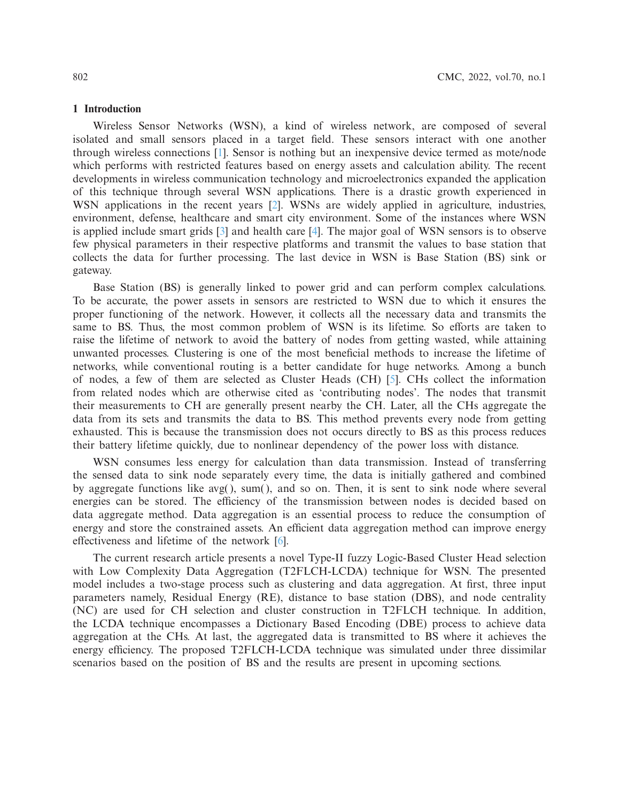### **1 Introduction**

Wireless Sensor Networks (WSN), a kind of wireless network, are composed of several isolated and small sensors placed in a target field. These sensors interact with one another through wireless connections [\[1](#page-14-0)]. Sensor is nothing but an inexpensive device termed as mote/node which performs with restricted features based on energy assets and calculation ability. The recent developments in wireless communication technology and microelectronics expanded the application of this technique through several WSN applications. There is a drastic growth experienced in WSN applications in the recent years [\[2](#page-14-1)]. WSNs are widely applied in agriculture, industries, environment, defense, healthcare and smart city environment. Some of the instances where WSN is applied include smart grids [\[3](#page-14-2)] and health care [\[4\]](#page-14-3). The major goal of WSN sensors is to observe few physical parameters in their respective platforms and transmit the values to base station that collects the data for further processing. The last device in WSN is Base Station (BS) sink or gateway.

Base Station (BS) is generally linked to power grid and can perform complex calculations. To be accurate, the power assets in sensors are restricted to WSN due to which it ensures the proper functioning of the network. However, it collects all the necessary data and transmits the same to BS. Thus, the most common problem of WSN is its lifetime. So efforts are taken to raise the lifetime of network to avoid the battery of nodes from getting wasted, while attaining unwanted processes. Clustering is one of the most beneficial methods to increase the lifetime of networks, while conventional routing is a better candidate for huge networks. Among a bunch of nodes, a few of them are selected as Cluster Heads (CH) [\[5](#page-14-4)]. CHs collect the information from related nodes which are otherwise cited as 'contributing nodes'. The nodes that transmit their measurements to CH are generally present nearby the CH. Later, all the CHs aggregate the data from its sets and transmits the data to BS. This method prevents every node from getting exhausted. This is because the transmission does not occurs directly to BS as this process reduces their battery lifetime quickly, due to nonlinear dependency of the power loss with distance.

WSN consumes less energy for calculation than data transmission. Instead of transferring the sensed data to sink node separately every time, the data is initially gathered and combined by aggregate functions like  $avg()$ , sum $()$ , and so on. Then, it is sent to sink node where several energies can be stored. The efficiency of the transmission between nodes is decided based on data aggregate method. Data aggregation is an essential process to reduce the consumption of energy and store the constrained assets. An efficient data aggregation method can improve energy effectiveness and lifetime of the network [\[6\]](#page-14-5).

The current research article presents a novel Type-II fuzzy Logic-Based Cluster Head selection with Low Complexity Data Aggregation (T2FLCH-LCDA) technique for WSN. The presented model includes a two-stage process such as clustering and data aggregation. At first, three input parameters namely, Residual Energy (RE), distance to base station (DBS), and node centrality (NC) are used for CH selection and cluster construction in T2FLCH technique. In addition, the LCDA technique encompasses a Dictionary Based Encoding (DBE) process to achieve data aggregation at the CHs. At last, the aggregated data is transmitted to BS where it achieves the energy efficiency. The proposed T2FLCH-LCDA technique was simulated under three dissimilar scenarios based on the position of BS and the results are present in upcoming sections.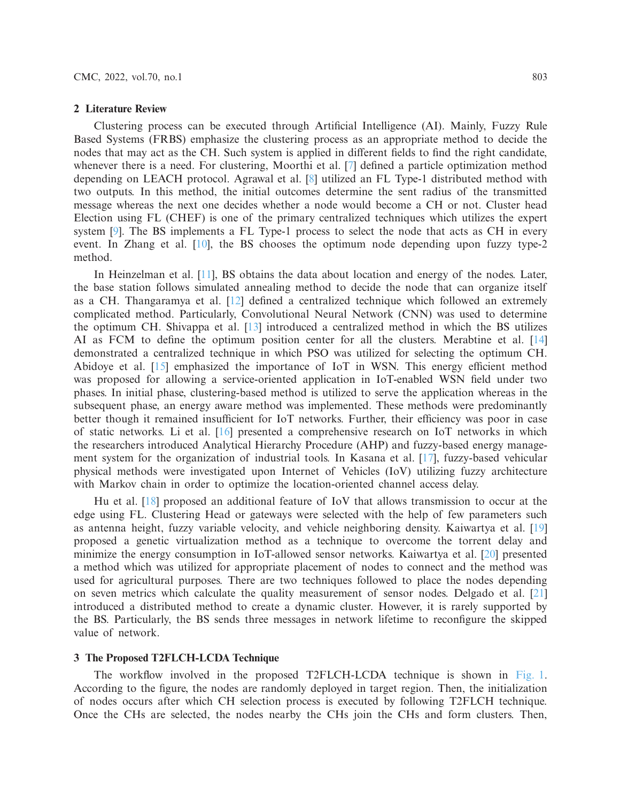### **2 Literature Review**

method.

Clustering process can be executed through Artificial Intelligence (AI). Mainly, Fuzzy Rule Based Systems (FRBS) emphasize the clustering process as an appropriate method to decide the nodes that may act as the CH. Such system is applied in different fields to find the right candidate, whenever there is a need. For clustering, Moorthi et al. [\[7](#page-14-6)] defined a particle optimization method depending on LEACH protocol. Agrawal et al. [\[8\]](#page-14-7) utilized an FL Type-1 distributed method with two outputs. In this method, the initial outcomes determine the sent radius of the transmitted message whereas the next one decides whether a node would become a CH or not. Cluster head Election using FL (CHEF) is one of the primary centralized techniques which utilizes the expert system [\[9](#page-14-8)]. The BS implements a FL Type-1 process to select the node that acts as CH in every event. In Zhang et al. [\[10\]](#page-14-9), the BS chooses the optimum node depending upon fuzzy type-2

In Heinzelman et al. [\[11](#page-14-10)], BS obtains the data about location and energy of the nodes. Later, the base station follows simulated annealing method to decide the node that can organize itself as a CH. Thangaramya et al. [\[12\]](#page-14-11) defined a centralized technique which followed an extremely complicated method. Particularly, Convolutional Neural Network (CNN) was used to determine the optimum CH. Shivappa et al. [\[13\]](#page-15-0) introduced a centralized method in which the BS utilizes AI as FCM to define the optimum position center for all the clusters. Merabtine et al. [\[14\]](#page-15-1) demonstrated a centralized technique in which PSO was utilized for selecting the optimum CH. Abidoye et al. [\[15\]](#page-15-2) emphasized the importance of IoT in WSN. This energy efficient method was proposed for allowing a service-oriented application in IoT-enabled WSN field under two phases. In initial phase, clustering-based method is utilized to serve the application whereas in the subsequent phase, an energy aware method was implemented. These methods were predominantly better though it remained insufficient for IoT networks. Further, their efficiency was poor in case of static networks. Li et al. [\[16\]](#page-15-3) presented a comprehensive research on IoT networks in which the researchers introduced Analytical Hierarchy Procedure (AHP) and fuzzy-based energy management system for the organization of industrial tools. In Kasana et al. [\[17](#page-15-4)], fuzzy-based vehicular physical methods were investigated upon Internet of Vehicles (IoV) utilizing fuzzy architecture with Markov chain in order to optimize the location-oriented channel access delay.

Hu et al. [\[18](#page-15-5)] proposed an additional feature of IoV that allows transmission to occur at the edge using FL. Clustering Head or gateways were selected with the help of few parameters such as antenna height, fuzzy variable velocity, and vehicle neighboring density. Kaiwartya et al. [\[19\]](#page-15-6) proposed a genetic virtualization method as a technique to overcome the torrent delay and minimize the energy consumption in IoT-allowed sensor networks. Kaiwartya et al. [\[20](#page-15-7)] presented a method which was utilized for appropriate placement of nodes to connect and the method was used for agricultural purposes. There are two techniques followed to place the nodes depending on seven metrics which calculate the quality measurement of sensor nodes. Delgado et al. [\[21\]](#page-15-8) introduced a distributed method to create a dynamic cluster. However, it is rarely supported by the BS. Particularly, the BS sends three messages in network lifetime to reconfigure the skipped value of network.

# **3 The Proposed T2FLCH-LCDA Technique**

The workflow involved in the proposed T2FLCH-LCDA technique is shown in [Fig. 1.](#page-3-0) According to the figure, the nodes are randomly deployed in target region. Then, the initialization of nodes occurs after which CH selection process is executed by following T2FLCH technique. Once the CHs are selected, the nodes nearby the CHs join the CHs and form clusters. Then,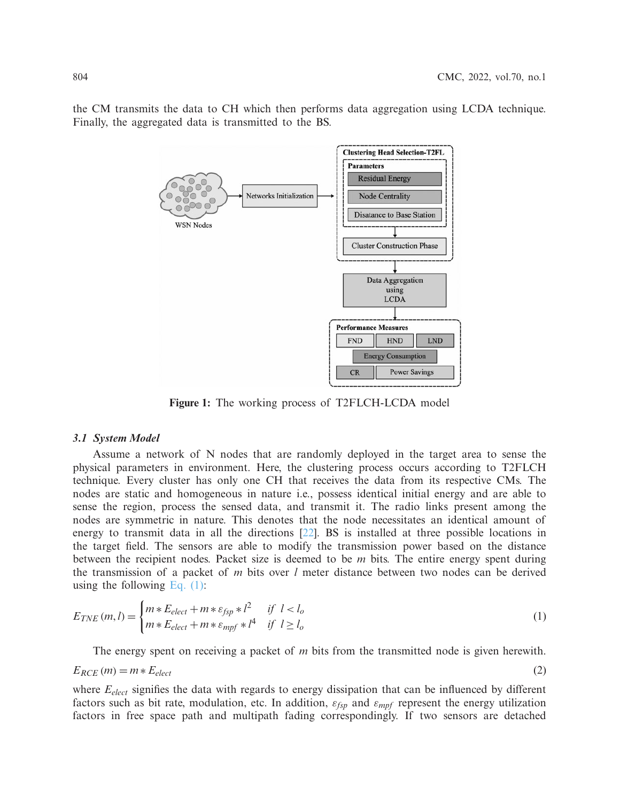the CM transmits the data to CH which then performs data aggregation using LCDA technique. Finally, the aggregated data is transmitted to the BS.



<span id="page-3-0"></span>**Figure 1:** The working process of T2FLCH-LCDA model

### *3.1 System Model*

Assume a network of N nodes that are randomly deployed in the target area to sense the physical parameters in environment. Here, the clustering process occurs according to T2FLCH technique. Every cluster has only one CH that receives the data from its respective CMs. The nodes are static and homogeneous in nature i.e., possess identical initial energy and are able to sense the region, process the sensed data, and transmit it. The radio links present among the nodes are symmetric in nature. This denotes that the node necessitates an identical amount of energy to transmit data in all the directions [\[22\]](#page-15-9). BS is installed at three possible locations in the target field. The sensors are able to modify the transmission power based on the distance between the recipient nodes. Packet size is deemed to be *m* bits. The entire energy spent during the transmission of a packet of *m* bits over *l* meter distance between two nodes can be derived using the following Eq.  $(1)$ :

<span id="page-3-1"></span>
$$
E_{TNE}(m,l) = \begin{cases} m * E_{elect} + m * \varepsilon_{fsp} * l^2 & \text{if } l < l_o \\ m * E_{elect} + m * \varepsilon_{mpf} * l^4 & \text{if } l \ge l_o \end{cases}
$$
 (1)

The energy spent on receiving a packet of *m* bits from the transmitted node is given herewith.

$$
E_{RCE}(m) = m * E_{elect}
$$
 (2)

where  $E_{elect}$  signifies the data with regards to energy dissipation that can be influenced by different factors such as bit rate, modulation, etc. In addition, ε*fsp* and ε*mpf* represent the energy utilization factors in free space path and multipath fading correspondingly. If two sensors are detached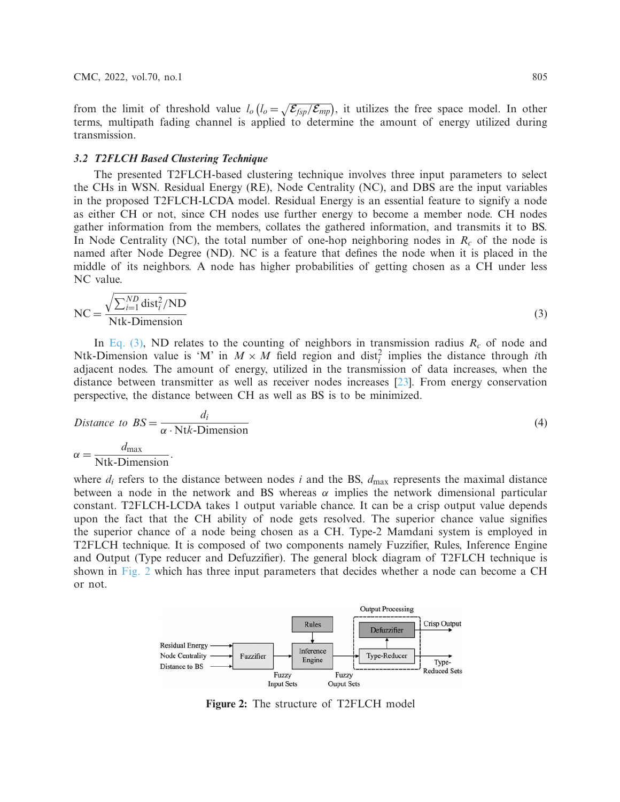from the limit of threshold value  $l_o(l_o = \sqrt{\mathcal{E}_{fsp}/\mathcal{E}_{mp}})$ , it utilizes the free space model. In other terms, multipath fading channel is applied to determine the amount of energy utilized during transmission.

# *3.2 T2FLCH Based Clustering Technique*

The presented T2FLCH-based clustering technique involves three input parameters to select the CHs in WSN. Residual Energy (RE), Node Centrality (NC), and DBS are the input variables in the proposed T2FLCH-LCDA model. Residual Energy is an essential feature to signify a node as either CH or not, since CH nodes use further energy to become a member node. CH nodes gather information from the members, collates the gathered information, and transmits it to BS. In Node Centrality (NC), the total number of one-hop neighboring nodes in  $R_c$  of the node is named after Node Degree (ND). NC is a feature that defines the node when it is placed in the middle of its neighbors. A node has higher probabilities of getting chosen as a CH under less NC value.

<span id="page-4-0"></span>
$$
NC = \frac{\sqrt{\sum_{i=1}^{ND} dist_i^2 / ND}}{Ntk-Dimension}
$$
 (3)

In Eq.  $(3)$ , ND relates to the counting of neighbors in transmission radius  $R_c$  of node and Ntk-Dimension value is 'M' in  $M \times M$  field region and dist<sup>2</sup> implies the distance through *i*th adjacent nodes. The amount of energy, utilized in the transmission of data increases, when the distance between transmitter as well as receiver nodes increases [\[23\]](#page-15-10). From energy conservation perspective, the distance between CH as well as BS is to be minimized.

Distance to 
$$
BS = \frac{d_i}{\alpha \cdot \text{N} t k \cdot \text{Dimension}}
$$
 (4)  

$$
\alpha = \frac{d_{\text{max}}}{\text{N} t k \cdot \text{Dimension}}
$$

where  $d_i$  refers to the distance between nodes *i* and the BS,  $d_{\text{max}}$  represents the maximal distance between a node in the network and BS whereas  $\alpha$  implies the network dimensional particular constant. T2FLCH-LCDA takes 1 output variable chance. It can be a crisp output value depends upon the fact that the CH ability of node gets resolved. The superior chance value signifies the superior chance of a node being chosen as a CH. Type-2 Mamdani system is employed in T2FLCH technique. It is composed of two components namely Fuzzifier, Rules, Inference Engine and Output (Type reducer and Defuzzifier). The general block diagram of T2FLCH technique is shown in [Fig. 2](#page-4-1) which has three input parameters that decides whether a node can become a CH or not.



<span id="page-4-1"></span>**Figure 2:** The structure of T2FLCH model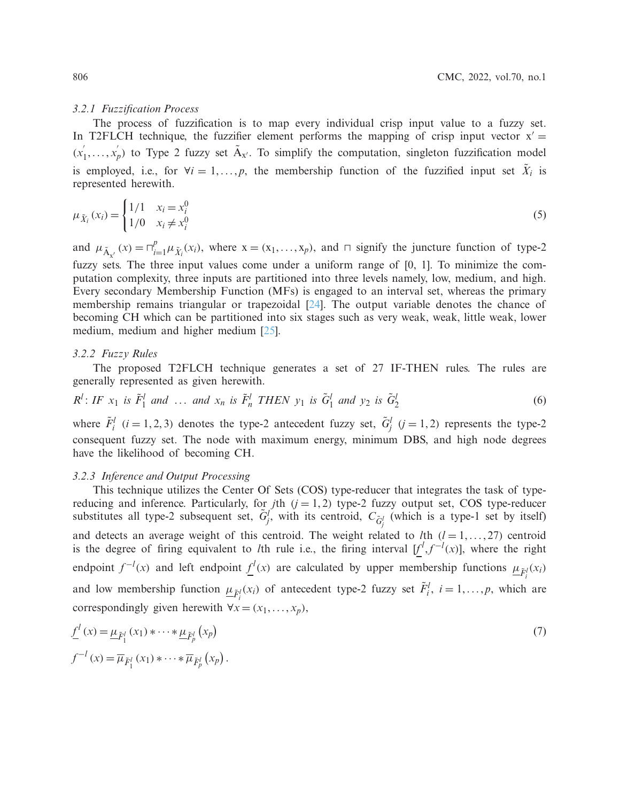### *3.2.1 Fuzzification Process*

The process of fuzzification is to map every individual crisp input value to a fuzzy set. In T2FLCH technique, the fuzzifier element performs the mapping of crisp input vector  $x' =$  $(x'_1, \ldots, x'_p)$  to Type 2 fuzzy set  $\tilde{A}_{x'}$ . To simplify the computation, singleton fuzzification model is employed, i.e., for  $\forall i = 1, \ldots, p$ , the membership function of the fuzzified input set  $\tilde{X}_i$  is represented herewith.

$$
\mu_{\tilde{X}_i}(x_i) = \begin{cases} 1/1 & x_i = x_i^0 \\ 1/0 & x_i \neq x_i^0 \end{cases}
$$
\n(5)

and  $\mu_{\tilde{A}_{x'}}(x) = \prod_{i=1}^p \mu_{\tilde{X}_i}(x_i)$ , where  $x = (x_1, \dots, x_p)$ , and  $\sqcap$  signify the juncture function of type-2 fuzzy sets. The three input values come under a uniform range of [0, 1]. To minimize the computation complexity, three inputs are partitioned into three levels namely, low, medium, and high. Every secondary Membership Function (MFs) is engaged to an interval set, whereas the primary membership remains triangular or trapezoidal [\[24](#page-15-11)]. The output variable denotes the chance of becoming CH which can be partitioned into six stages such as very weak, weak, little weak, lower medium, medium and higher medium [\[25\]](#page-15-12).

### *3.2.2 Fuzzy Rules*

The proposed T2FLCH technique generates a set of 27 IF-THEN rules. The rules are generally represented as given herewith.

$$
R^l: IF x_1 \text{ is } \tilde{F}_1^l \text{ and } \dots \text{ and } x_n \text{ is } \tilde{F}_n^l \text{ THEN } y_1 \text{ is } \tilde{G}_1^l \text{ and } y_2 \text{ is } \tilde{G}_2^l \tag{6}
$$

where  $\tilde{F}^l_i$  (*i* = 1, 2, 3) denotes the type-2 antecedent fuzzy set,  $\tilde{G}^l_j$  (*j* = 1, 2) represents the type-2 consequent fuzzy set. The node with maximum energy, minimum DBS, and high node degrees have the likelihood of becoming CH.

# *3.2.3 Inference and Output Processing*

This technique utilizes the Center Of Sets (COS) type-reducer that integrates the task of typereducing and inference. Particularly, for  $j$ th  $(j = 1, 2)$  type-2 fuzzy output set, COS type-reducer substitutes all type-2 subsequent set,  $\tilde{G}_j^l$ , with its centroid,  $C_{\tilde{G}_j^l}$  (which is a type-1 set by itself) and detects an average weight of this centroid. The weight related to  $l$ th ( $l = 1, \ldots, 27$ ) centroid is the degree of firing equivalent to *l*th rule i.e., the firing interval  $[f^l, f^{-l}(x)]$ , where the right endpoint  $f^{-l}(x)$  and left endpoint  $\underline{f}^{l}(x)$  are calculated by upper membership functions  $\underline{\mu}_{\tilde{F}_i^{l}}(x_i)$ and low membership function  $\underline{\mu}_{\tilde{F}_i^l}(x_i)$  of antecedent type-2 fuzzy set  $\tilde{F}_i^l$ ,  $i = 1, ..., p$ , which are correspondingly given herewith  $\forall x = (x_1, \ldots, x_p)$ ,

$$
\underline{f}^{l}(x) = \underline{\mu}_{\tilde{F}_{1}^{l}}(x_{1}) * \cdots * \underline{\mu}_{\tilde{F}_{p}^{l}}(x_{p})
$$
\n
$$
f^{-l}(x) = \overline{\mu}_{\tilde{F}_{1}^{l}}(x_{1}) * \cdots * \overline{\mu}_{\tilde{F}_{p}^{l}}(x_{p}).
$$
\n(7)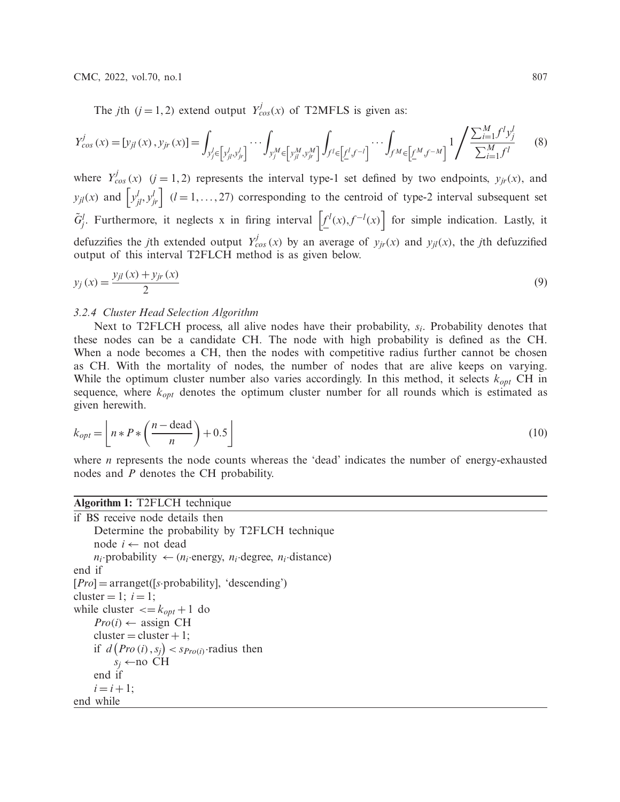The *j*th (*j* = 1, 2) extend output  $Y_{cos}^j(x)$  of T2MFLS is given as:

$$
Y_{cos}^{j}(x) = [y_{jl}(x), y_{jr}(x)] = \int_{y_{j}^{l} \in [y_{jl}^{l}, y_{jr}^{l}]} \cdots \int_{y_{j}^{M} \in [y_{jl}^{M}, y_{jr}^{M}]} \int_{f^{l} \in [f^{l}f^{-l}]} \cdots \int_{f^{M} \in [f^{M}f^{-M}]} 1 / \frac{\sum_{i=1}^{M} f^{l} y_{j}^{l}}{\sum_{i=1}^{M} f^{l}}
$$
(8)

where  $Y_{cos}^{j}(x)$  (*j* = 1, 2) represents the interval type-1 set defined by two endpoints,  $y_{jr}(x)$ , and  $y_{jl}(x)$  and  $\left[ y_{jl}^l, y_{jr}^l \right]$  ( $l = 1, ..., 27$ ) corresponding to the centroid of type-2 interval subsequent set  $G_j^l$ . Furthermore, it neglects x in firing interval  $\left[\underline{f}^l(x),f^{-l}(x)\right]$  for simple indication. Lastly, it defuzzifies the *j*th extended output  $Y_{cos}^j(x)$  by an average of  $y_{jr}(x)$  and  $y_{jl}(x)$ , the *j*th defuzzified output of this interval T2FLCH method is as given below.

$$
y_j(x) = \frac{y_{jl}(x) + y_{jr}(x)}{2}
$$
\n(9)

## *3.2.4 Cluster Head Selection Algorithm*

Next to T2FLCH process, all alive nodes have their probability, *si*. Probability denotes that these nodes can be a candidate CH. The node with high probability is defined as the CH. When a node becomes a CH, then the nodes with competitive radius further cannot be chosen as CH. With the mortality of nodes, the number of nodes that are alive keeps on varying. While the optimum cluster number also varies accordingly. In this method, it selects *kopt* CH in sequence, where *kopt* denotes the optimum cluster number for all rounds which is estimated as given herewith.

$$
k_{opt} = \left\lfloor n * P * \left( \frac{n - \text{dead}}{n} \right) + 0.5 \right\rfloor \tag{10}
$$

where *n* represents the node counts whereas the 'dead' indicates the number of energy-exhausted nodes and *P* denotes the CH probability.

# **Algorithm 1:** T2FLCH technique

```
if BS receive node details then
     Determine the probability by T2FLCH technique
     node i ← not dead
     n_i·probability \leftarrow (n_i·energy, n_i·degree, n_i·distance)
end if
[Pro] = arranget([s·probability], 'descending')
cluster = 1; i = 1;
while cluster \langle = k_{opt} + 1 \rangle do
     Pro(i) \leftarrow assign CH
     cluster = cluster + 1;if d\left(\text{Pro}(i), s_j\right) \leq s_{\text{Pro}(i)}·radius then
          s_i \leftarrowno CH
     end if
     i = i + 1;end while
```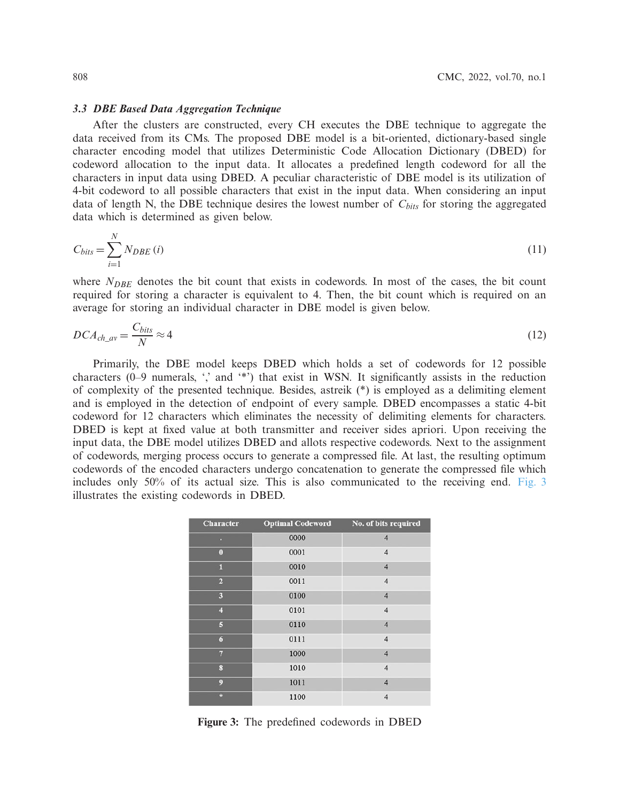### *3.3 DBE Based Data Aggregation Technique*

After the clusters are constructed, every CH executes the DBE technique to aggregate the data received from its CMs. The proposed DBE model is a bit-oriented, dictionary-based single character encoding model that utilizes Deterministic Code Allocation Dictionary (DBED) for codeword allocation to the input data. It allocates a predefined length codeword for all the characters in input data using DBED. A peculiar characteristic of DBE model is its utilization of 4-bit codeword to all possible characters that exist in the input data. When considering an input data of length N, the DBE technique desires the lowest number of  $C_{bits}$  for storing the aggregated data which is determined as given below.

$$
C_{bits} = \sum_{i=1}^{N} N_{DBE}(i)
$$
\n<sup>(11)</sup>

where *N<sub>DBE*</sub> denotes the bit count that exists in codewords. In most of the cases, the bit count required for storing a character is equivalent to 4. Then, the bit count which is required on an average for storing an individual character in DBE model is given below.

$$
DCA_{ch\_av} = \frac{C_{bits}}{N} \approx 4\tag{12}
$$

Primarily, the DBE model keeps DBED which holds a set of codewords for 12 possible characters (0–9 numerals, ',' and '\*') that exist in WSN. It significantly assists in the reduction of complexity of the presented technique. Besides, astreik (\*) is employed as a delimiting element and is employed in the detection of endpoint of every sample. DBED encompasses a static 4-bit codeword for 12 characters which eliminates the necessity of delimiting elements for characters. DBED is kept at fixed value at both transmitter and receiver sides apriori. Upon receiving the input data, the DBE model utilizes DBED and allots respective codewords. Next to the assignment of codewords, merging process occurs to generate a compressed file. At last, the resulting optimum codewords of the encoded characters undergo concatenation to generate the compressed file which includes only 50% of its actual size. This is also communicated to the receiving end. [Fig. 3](#page-7-0) illustrates the existing codewords in DBED.

| <b>Character</b>  | <b>Optimal Codeword</b> | No. of bits required    |
|-------------------|-------------------------|-------------------------|
|                   | 0000                    | $\overline{4}$          |
| $\bf{0}$          | 0001                    | $\overline{4}$          |
| n                 | 0010                    | $\overline{4}$          |
| $\overline{2}$    | 0011                    | $\overline{4}$          |
| 3                 | 0100                    | $\overline{4}$          |
| 4                 | 0101                    | $\overline{4}$          |
| 5                 | 0110                    | $\overline{4}$          |
| $\boldsymbol{6}$  | 0111                    | $\overline{\mathbf{4}}$ |
| $\overline{7}$    | 1000                    | $\overline{4}$          |
| $\bf{8}$          | 1010                    | $\overline{4}$          |
| $\boldsymbol{9}$  | 1011                    | $\overline{4}$          |
| $\overline{\ast}$ | 1100                    | $\overline{4}$          |

<span id="page-7-0"></span>**Figure 3:** The predefined codewords in DBED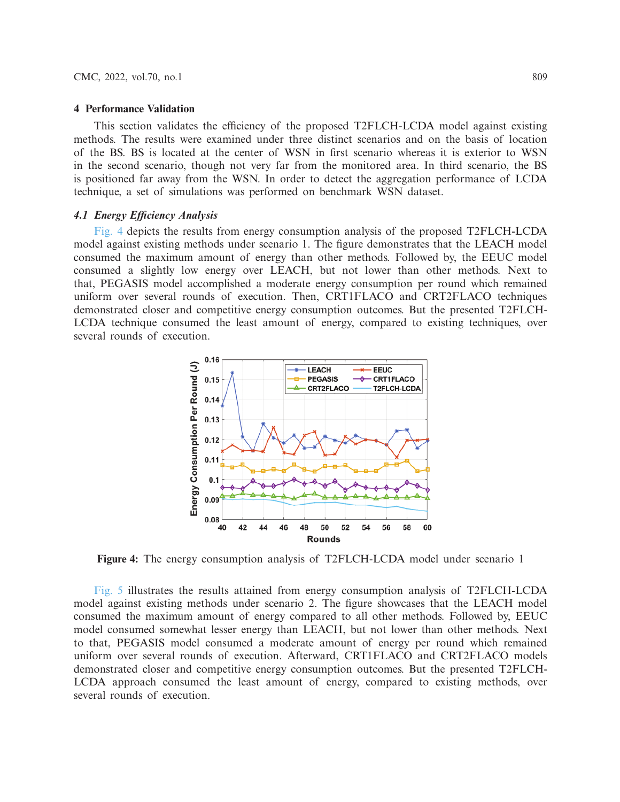### **4 Performance Validation**

This section validates the efficiency of the proposed T2FLCH-LCDA model against existing methods. The results were examined under three distinct scenarios and on the basis of location of the BS. BS is located at the center of WSN in first scenario whereas it is exterior to WSN in the second scenario, though not very far from the monitored area. In third scenario, the BS is positioned far away from the WSN. In order to detect the aggregation performance of LCDA technique, a set of simulations was performed on benchmark WSN dataset.

### *4.1 Energy Efficiency Analysis*

[Fig. 4](#page-8-0) depicts the results from energy consumption analysis of the proposed T2FLCH-LCDA model against existing methods under scenario 1. The figure demonstrates that the LEACH model consumed the maximum amount of energy than other methods. Followed by, the EEUC model consumed a slightly low energy over LEACH, but not lower than other methods. Next to that, PEGASIS model accomplished a moderate energy consumption per round which remained uniform over several rounds of execution. Then, CRT1FLACO and CRT2FLACO techniques demonstrated closer and competitive energy consumption outcomes. But the presented T2FLCH-LCDA technique consumed the least amount of energy, compared to existing techniques, over several rounds of execution.

<span id="page-8-0"></span>

**Figure 4:** The energy consumption analysis of T2FLCH-LCDA model under scenario 1

[Fig. 5](#page-9-0) illustrates the results attained from energy consumption analysis of T2FLCH-LCDA model against existing methods under scenario 2. The figure showcases that the LEACH model consumed the maximum amount of energy compared to all other methods. Followed by, EEUC model consumed somewhat lesser energy than LEACH, but not lower than other methods. Next to that, PEGASIS model consumed a moderate amount of energy per round which remained uniform over several rounds of execution. Afterward, CRT1FLACO and CRT2FLACO models demonstrated closer and competitive energy consumption outcomes. But the presented T2FLCH-LCDA approach consumed the least amount of energy, compared to existing methods, over several rounds of execution.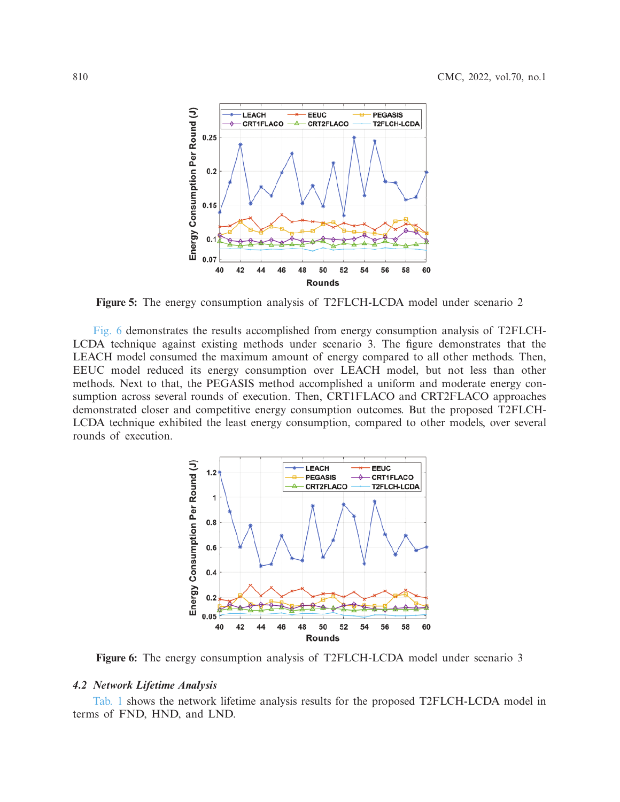

**Figure 5:** The energy consumption analysis of T2FLCH-LCDA model under scenario 2

[Fig. 6](#page-9-1) demonstrates the results accomplished from energy consumption analysis of T2FLCH-LCDA technique against existing methods under scenario 3. The figure demonstrates that the LEACH model consumed the maximum amount of energy compared to all other methods. Then, EEUC model reduced its energy consumption over LEACH model, but not less than other methods. Next to that, the PEGASIS method accomplished a uniform and moderate energy consumption across several rounds of execution. Then, CRT1FLACO and CRT2FLACO approaches demonstrated closer and competitive energy consumption outcomes. But the proposed T2FLCH-LCDA technique exhibited the least energy consumption, compared to other models, over several rounds of execution.

<span id="page-9-1"></span><span id="page-9-0"></span>

**Figure 6:** The energy consumption analysis of T2FLCH-LCDA model under scenario 3

# *4.2 Network Lifetime Analysis*

[Tab. 1](#page-10-0) shows the network lifetime analysis results for the proposed T2FLCH-LCDA model in terms of FND, HND, and LND.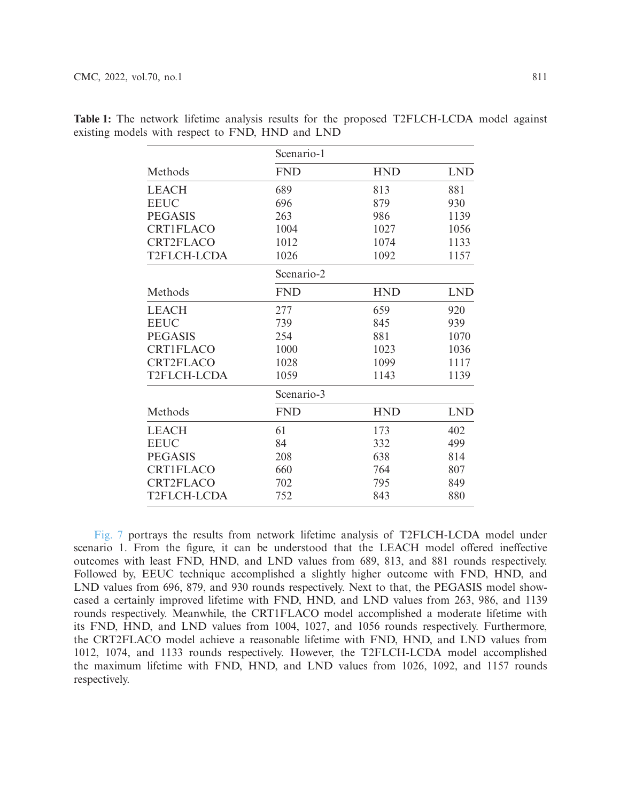|                  | Scenario-1 |            |            |
|------------------|------------|------------|------------|
| Methods          | <b>FND</b> | <b>HND</b> | <b>LND</b> |
| <b>LEACH</b>     | 689        | 813        | 881        |
| <b>EEUC</b>      | 696        | 879        | 930        |
| <b>PEGASIS</b>   | 263        | 986        | 1139       |
| <b>CRT1FLACO</b> | 1004       | 1027       | 1056       |
| <b>CRT2FLACO</b> | 1012       | 1074       | 1133       |
| T2FLCH-LCDA      | 1026       | 1092       | 1157       |
|                  | Scenario-2 |            |            |
| Methods          | <b>FND</b> | <b>HND</b> | <b>LND</b> |
| <b>LEACH</b>     | 277        | 659        | 920        |
| <b>EEUC</b>      | 739        | 845        | 939        |
| <b>PEGASIS</b>   | 254        | 881        | 1070       |
| <b>CRT1FLACO</b> | 1000       | 1023       | 1036       |
| <b>CRT2FLACO</b> | 1028       | 1099       | 1117       |
| T2FLCH-LCDA      | 1059       | 1143       | 1139       |
|                  | Scenario-3 |            |            |
| Methods          | <b>FND</b> | <b>HND</b> | <b>LND</b> |
| <b>LEACH</b>     | 61         | 173        | 402        |
| <b>EEUC</b>      | 84         | 332        | 499        |
| <b>PEGASIS</b>   | 208        | 638        | 814        |
| <b>CRT1FLACO</b> | 660        | 764        | 807        |
| <b>CRT2FLACO</b> | 702        | 795        | 849        |
| T2FLCH-LCDA      | 752        | 843        | 880        |

<span id="page-10-0"></span>**Table 1:** The network lifetime analysis results for the proposed T2FLCH-LCDA model against existing models with respect to FND, HND and LND

[Fig. 7](#page-11-0) portrays the results from network lifetime analysis of T2FLCH-LCDA model under scenario 1. From the figure, it can be understood that the LEACH model offered ineffective outcomes with least FND, HND, and LND values from 689, 813, and 881 rounds respectively. Followed by, EEUC technique accomplished a slightly higher outcome with FND, HND, and LND values from 696, 879, and 930 rounds respectively. Next to that, the PEGASIS model showcased a certainly improved lifetime with FND, HND, and LND values from 263, 986, and 1139 rounds respectively. Meanwhile, the CRT1FLACO model accomplished a moderate lifetime with its FND, HND, and LND values from 1004, 1027, and 1056 rounds respectively. Furthermore, the CRT2FLACO model achieve a reasonable lifetime with FND, HND, and LND values from 1012, 1074, and 1133 rounds respectively. However, the T2FLCH-LCDA model accomplished the maximum lifetime with FND, HND, and LND values from 1026, 1092, and 1157 rounds respectively.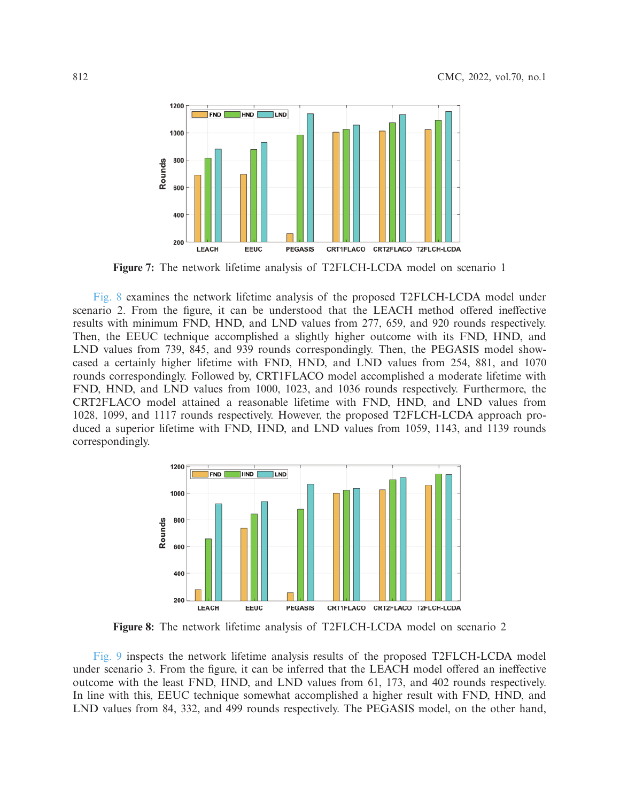<span id="page-11-0"></span>

**Figure 7:** The network lifetime analysis of T2FLCH-LCDA model on scenario 1

[Fig. 8](#page-11-1) examines the network lifetime analysis of the proposed T2FLCH-LCDA model under scenario 2. From the figure, it can be understood that the LEACH method offered ineffective results with minimum FND, HND, and LND values from 277, 659, and 920 rounds respectively. Then, the EEUC technique accomplished a slightly higher outcome with its FND, HND, and LND values from 739, 845, and 939 rounds correspondingly. Then, the PEGASIS model showcased a certainly higher lifetime with FND, HND, and LND values from 254, 881, and 1070 rounds correspondingly. Followed by, CRT1FLACO model accomplished a moderate lifetime with FND, HND, and LND values from 1000, 1023, and 1036 rounds respectively. Furthermore, the CRT2FLACO model attained a reasonable lifetime with FND, HND, and LND values from 1028, 1099, and 1117 rounds respectively. However, the proposed T2FLCH-LCDA approach produced a superior lifetime with FND, HND, and LND values from 1059, 1143, and 1139 rounds correspondingly.

<span id="page-11-1"></span>

**Figure 8:** The network lifetime analysis of T2FLCH-LCDA model on scenario 2

[Fig. 9](#page-12-0) inspects the network lifetime analysis results of the proposed T2FLCH-LCDA model under scenario 3. From the figure, it can be inferred that the LEACH model offered an ineffective outcome with the least FND, HND, and LND values from 61, 173, and 402 rounds respectively. In line with this, EEUC technique somewhat accomplished a higher result with FND, HND, and LND values from 84, 332, and 499 rounds respectively. The PEGASIS model, on the other hand,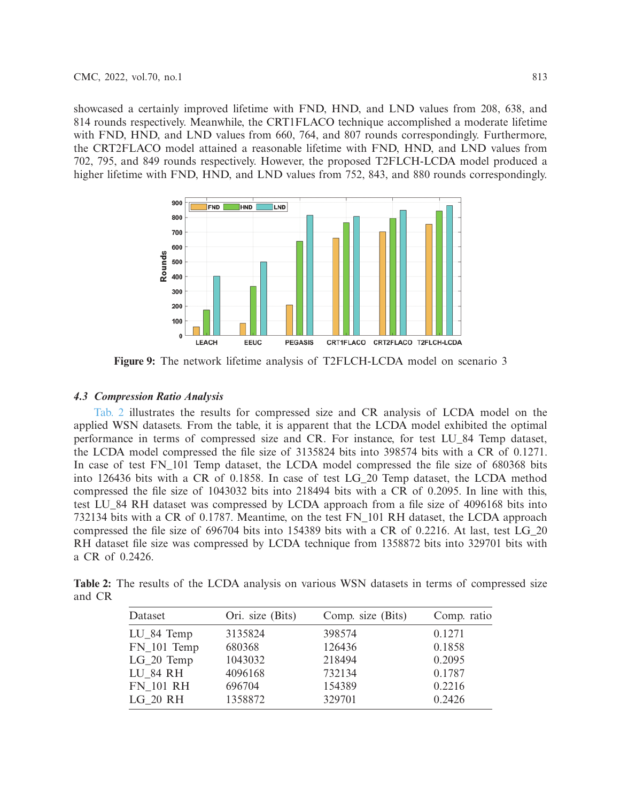showcased a certainly improved lifetime with FND, HND, and LND values from 208, 638, and 814 rounds respectively. Meanwhile, the CRT1FLACO technique accomplished a moderate lifetime with FND, HND, and LND values from 660, 764, and 807 rounds correspondingly. Furthermore, the CRT2FLACO model attained a reasonable lifetime with FND, HND, and LND values from 702, 795, and 849 rounds respectively. However, the proposed T2FLCH-LCDA model produced a higher lifetime with FND, HND, and LND values from 752, 843, and 880 rounds correspondingly.

<span id="page-12-0"></span>

**Figure 9:** The network lifetime analysis of T2FLCH-LCDA model on scenario 3

# *4.3 Compression Ratio Analysis*

[Tab. 2](#page-12-1) illustrates the results for compressed size and CR analysis of LCDA model on the applied WSN datasets. From the table, it is apparent that the LCDA model exhibited the optimal performance in terms of compressed size and CR. For instance, for test LU\_84 Temp dataset, the LCDA model compressed the file size of 3135824 bits into 398574 bits with a CR of 0.1271. In case of test FN\_101 Temp dataset, the LCDA model compressed the file size of 680368 bits into 126436 bits with a CR of 0.1858. In case of test LG\_20 Temp dataset, the LCDA method compressed the file size of 1043032 bits into 218494 bits with a CR of 0.2095. In line with this, test LU\_84 RH dataset was compressed by LCDA approach from a file size of 4096168 bits into 732134 bits with a CR of 0.1787. Meantime, on the test FN\_101 RH dataset, the LCDA approach compressed the file size of 696704 bits into 154389 bits with a CR of 0.2216. At last, test LG\_20 RH dataset file size was compressed by LCDA technique from 1358872 bits into 329701 bits with a CR of 0.2426.

<span id="page-12-1"></span>**Table 2:** The results of the LCDA analysis on various WSN datasets in terms of compressed size and CR

| Dataset          | Ori. size (Bits) | Comp. size (Bits) | Comp. ratio |
|------------------|------------------|-------------------|-------------|
| $LU_84$ Temp     | 3135824          | 398574            | 0.1271      |
| $FN_101$ Temp    | 680368           | 126436            | 0.1858      |
| $LG_20$ Temp     | 1043032          | 218494            | 0.2095      |
| LU 84 RH         | 4096168          | 732134            | 0.1787      |
| <b>FN 101 RH</b> | 696704           | 154389            | 0.2216      |
| LG 20 RH         | 1358872          | 329701            | 0.2426      |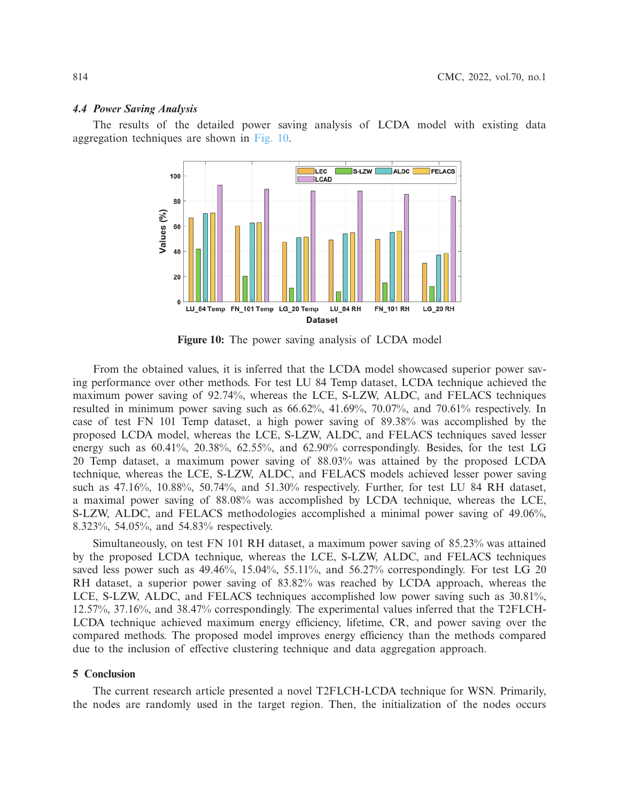### *4.4 Power Saving Analysis*

The results of the detailed power saving analysis of LCDA model with existing data aggregation techniques are shown in [Fig. 10.](#page-13-0)



<span id="page-13-0"></span>**Figure 10:** The power saving analysis of LCDA model

From the obtained values, it is inferred that the LCDA model showcased superior power saving performance over other methods. For test LU 84 Temp dataset, LCDA technique achieved the maximum power saving of 92.74%, whereas the LCE, S-LZW, ALDC, and FELACS techniques resulted in minimum power saving such as 66.62%, 41.69%, 70.07%, and 70.61% respectively. In case of test FN 101 Temp dataset, a high power saving of 89.38% was accomplished by the proposed LCDA model, whereas the LCE, S-LZW, ALDC, and FELACS techniques saved lesser energy such as 60.41%, 20.38%, 62.55%, and 62.90% correspondingly. Besides, for the test LG 20 Temp dataset, a maximum power saving of 88.03% was attained by the proposed LCDA technique, whereas the LCE, S-LZW, ALDC, and FELACS models achieved lesser power saving such as 47.16%, 10.88%, 50.74%, and 51.30% respectively. Further, for test LU 84 RH dataset, a maximal power saving of 88.08% was accomplished by LCDA technique, whereas the LCE, S-LZW, ALDC, and FELACS methodologies accomplished a minimal power saving of 49.06%, 8.323%, 54.05%, and 54.83% respectively.

Simultaneously, on test FN 101 RH dataset, a maximum power saving of 85.23% was attained by the proposed LCDA technique, whereas the LCE, S-LZW, ALDC, and FELACS techniques saved less power such as  $49.46\%$ , 15.04%, 55.11%, and 56.27% correspondingly. For test LG 20 RH dataset, a superior power saving of 83.82% was reached by LCDA approach, whereas the LCE, S-LZW, ALDC, and FELACS techniques accomplished low power saving such as 30.81%, 12.57%, 37.16%, and 38.47% correspondingly. The experimental values inferred that the T2FLCH-LCDA technique achieved maximum energy efficiency, lifetime, CR, and power saving over the compared methods. The proposed model improves energy efficiency than the methods compared due to the inclusion of effective clustering technique and data aggregation approach.

# **5 Conclusion**

The current research article presented a novel T2FLCH-LCDA technique for WSN. Primarily, the nodes are randomly used in the target region. Then, the initialization of the nodes occurs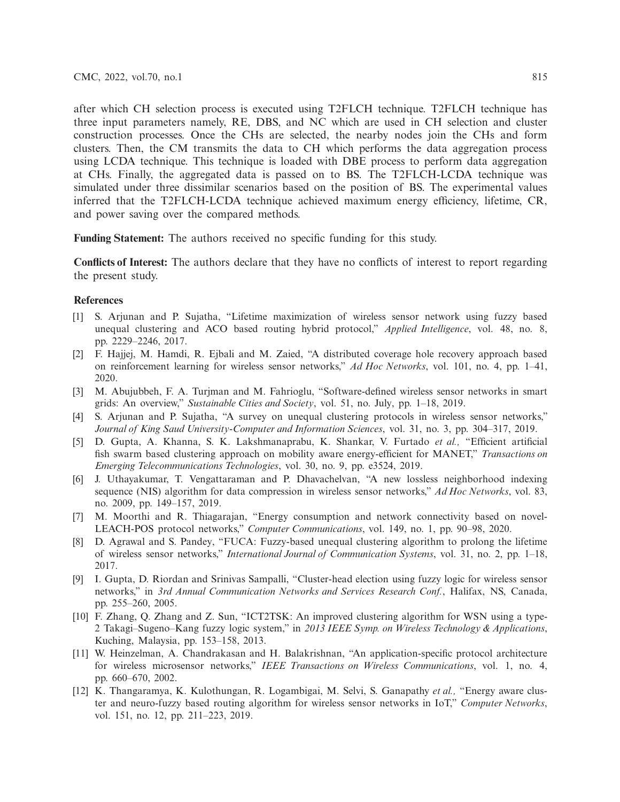after which CH selection process is executed using T2FLCH technique. T2FLCH technique has three input parameters namely, RE, DBS, and NC which are used in CH selection and cluster construction processes. Once the CHs are selected, the nearby nodes join the CHs and form clusters. Then, the CM transmits the data to CH which performs the data aggregation process using LCDA technique. This technique is loaded with DBE process to perform data aggregation at CHs. Finally, the aggregated data is passed on to BS. The T2FLCH-LCDA technique was simulated under three dissimilar scenarios based on the position of BS. The experimental values inferred that the T2FLCH-LCDA technique achieved maximum energy efficiency, lifetime, CR, and power saving over the compared methods.

**Funding Statement:** The authors received no specific funding for this study.

**Conflicts of Interest:** The authors declare that they have no conflicts of interest to report regarding the present study.

# **References**

- <span id="page-14-0"></span>[1] S. Arjunan and P. Sujatha, "Lifetime maximization of wireless sensor network using fuzzy based unequal clustering and ACO based routing hybrid protocol," *Applied Intelligence*, vol. 48, no. 8, pp. 2229–2246, 2017.
- <span id="page-14-1"></span>[2] F. Hajjej, M. Hamdi, R. Ejbali and M. Zaied, "A distributed coverage hole recovery approach based on reinforcement learning for wireless sensor networks," *Ad Hoc Networks*, vol. 101, no. 4, pp. 1–41, 2020.
- <span id="page-14-2"></span>[3] M. Abujubbeh, F. A. Turjman and M. Fahrioglu, "Software-defined wireless sensor networks in smart grids: An overview," *Sustainable Cities and Society*, vol. 51, no. July, pp. 1–18, 2019.
- <span id="page-14-3"></span>[4] S. Arjunan and P. Sujatha, "A survey on unequal clustering protocols in wireless sensor networks," *Journal of King Saud University-Computer and Information Sciences*, vol. 31, no. 3, pp. 304–317, 2019.
- <span id="page-14-4"></span>[5] D. Gupta, A. Khanna, S. K. Lakshmanaprabu, K. Shankar, V. Furtado *et al.,* "Efficient artificial fish swarm based clustering approach on mobility aware energy-efficient for MANET," *Transactions on Emerging Telecommunications Technologies*, vol. 30, no. 9, pp. e3524, 2019.
- <span id="page-14-5"></span>[6] J. Uthayakumar, T. Vengattaraman and P. Dhavachelvan, "A new lossless neighborhood indexing sequence (NIS) algorithm for data compression in wireless sensor networks," *Ad Hoc Networks*, vol. 83, no. 2009, pp. 149–157, 2019.
- <span id="page-14-6"></span>[7] M. Moorthi and R. Thiagarajan, "Energy consumption and network connectivity based on novel-LEACH-POS protocol networks," *Computer Communications*, vol. 149, no. 1, pp. 90–98, 2020.
- <span id="page-14-7"></span>[8] D. Agrawal and S. Pandey, "FUCA: Fuzzy-based unequal clustering algorithm to prolong the lifetime of wireless sensor networks," *International Journal of Communication Systems*, vol. 31, no. 2, pp. 1–18, 2017.
- <span id="page-14-8"></span>[9] I. Gupta, D. Riordan and Srinivas Sampalli, "Cluster-head election using fuzzy logic for wireless sensor networks," in *3rd Annual Communication Networks and Services Research Conf.*, Halifax, NS, Canada, pp. 255–260, 2005.
- <span id="page-14-9"></span>[10] F. Zhang, Q. Zhang and Z. Sun, "ICT2TSK: An improved clustering algorithm for WSN using a type-2 Takagi–Sugeno–Kang fuzzy logic system," in *2013 IEEE Symp. on Wireless Technology & Applications*, Kuching, Malaysia, pp. 153–158, 2013.
- <span id="page-14-10"></span>[11] W. Heinzelman, A. Chandrakasan and H. Balakrishnan, "An application-specific protocol architecture for wireless microsensor networks," *IEEE Transactions on Wireless Communications*, vol. 1, no. 4, pp. 660–670, 2002.
- <span id="page-14-11"></span>[12] K. Thangaramya, K. Kulothungan, R. Logambigai, M. Selvi, S. Ganapathy *et al.,* "Energy aware cluster and neuro-fuzzy based routing algorithm for wireless sensor networks in IoT," *Computer Networks*, vol. 151, no. 12, pp. 211–223, 2019.